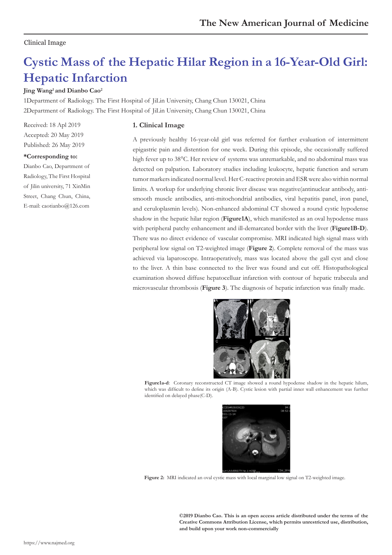## Clinical Image

# **Cystic Mass of the Hepatic Hilar Region in a 16-Year-Old Girl: Hepatic Infarction**

### **Jing Wang1 and Dianbo Cao2**

1Department of Radiology. The First Hospital of JiLin University, Chang Chun 130021, China 2Department of Radiology. The First Hospital of JiLin University, Chang Chun 130021, China

Received: 18 Apl 2019 Accepted: 20 May 2019 Published: 26 May 2019

#### **\*Corresponding to:**

Dianbo Cao, Department of Radiology, The First Hospital of Jilin university, 71 XinMin Street, Chang Chun, China, E-mail: caotianbo@126.com

#### **1. Clinical Image**

A previously healthy 16-year-old girl was referred for further evaluation of intermittent epigastric pain and distention for one week. During this episode, she occasionally suffered high fever up to 38°C. Her review of systems was unremarkable, and no abdominal mass was detected on palpation. Laboratory studies including leukocyte, hepatic function and serum tumor markers indicated normal level. Her C-reactive protein and ESR were also within normal limits. A workup for underlying chronic liver disease was negative(antinuclear antibody, antismooth muscle antibodies, anti-mitochondrial antibodies, viral hepatitis panel, iron panel, and ceruloplasmin levels). Non-enhanced abdominal CT showed a round cystic hypodense shadow in the hepatic hilar region (**Figure1A**), which manifested as an oval hypodense mass with peripheral patchy enhancement and ill-demarcated border with the liver (**Figure1B-D**). There was no direct evidence of vascular compromise. MRI indicated high signal mass with peripheral low signal on T2-weighted image (**Figure 2**). Complete removal of the mass was achieved via laparoscope. Intraoperatively, mass was located above the gall cyst and close to the liver. A thin base connected to the liver was found and cut off. Histopathological examination showed diffuse hepatocelluar infarction with contour of hepatic trabecula and microvascular thrombosis (**Figure 3**). The diagnosis of hepatic infarction was finally made.



**Figure1a-d**: Coronary reconstructed CT image showed a round hypodense shadow in the hepatic hilum, which was difficult to define its origin (A-B). Cystic lesion with partial inner wall enhancement was further identified on delayed phase(C-D).



**Figure 2:** MRI indicated an oval cystic mass with local marginal low signal on T2-weighted image.

**©2019 Dianbo Cao. This is an open access article distributed under the terms of the Creative Commons Attribution License, which permits unrestricted use, distribution, and build upon your work non-commercially**